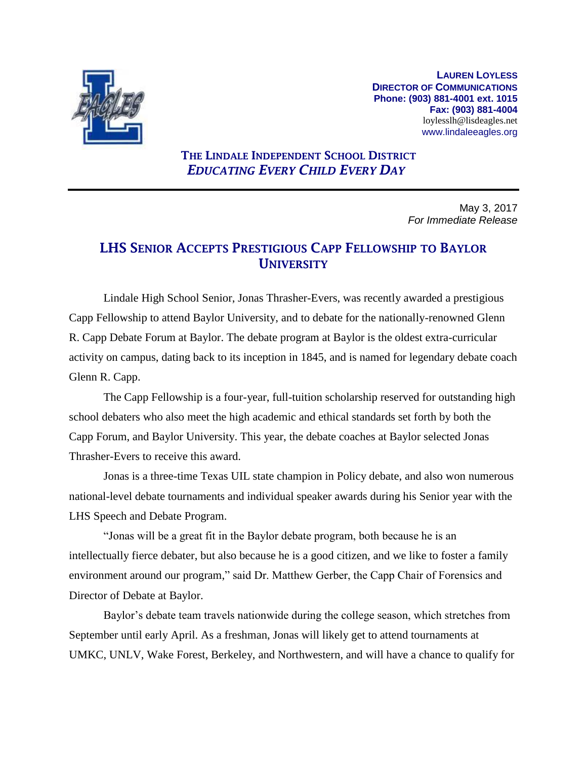

**LAUREN LOYLESS DIRECTOR OF COMMUNICATIONS Phone: (903) 881-4001 ext. 1015 Fax: (903) 881-4004** loylesslh@lisdeagles.net www.lindaleeagles.org

## **THE LINDALE INDEPENDENT SCHOOL DISTRICT** *EDUCATING EVERY CHILD EVERY DAY*

May 3, 2017 *For Immediate Release*

## **LHS SENIOR ACCEPTS PRESTIGIOUS CAPP FELLOWSHIP TO BAYLOR UNIVERSITY**

Lindale High School Senior, Jonas Thrasher-Evers, was recently awarded a prestigious Capp Fellowship to attend Baylor University, and to debate for the nationally-renowned Glenn R. Capp Debate Forum at Baylor. The debate program at Baylor is the oldest extra-curricular activity on campus, dating back to its inception in 1845, and is named for legendary debate coach Glenn R. Capp.

The Capp Fellowship is a four-year, full-tuition scholarship reserved for outstanding high school debaters who also meet the high academic and ethical standards set forth by both the Capp Forum, and Baylor University. This year, the debate coaches at Baylor selected Jonas Thrasher-Evers to receive this award.

Jonas is a three-time Texas UIL state champion in Policy debate, and also won numerous national-level debate tournaments and individual speaker awards during his Senior year with the LHS Speech and Debate Program.

"Jonas will be a great fit in the Baylor debate program, both because he is an intellectually fierce debater, but also because he is a good citizen, and we like to foster a family environment around our program," said Dr. Matthew Gerber, the Capp Chair of Forensics and Director of Debate at Baylor.

Baylor's debate team travels nationwide during the college season, which stretches from September until early April. As a freshman, Jonas will likely get to attend tournaments at UMKC, UNLV, Wake Forest, Berkeley, and Northwestern, and will have a chance to qualify for